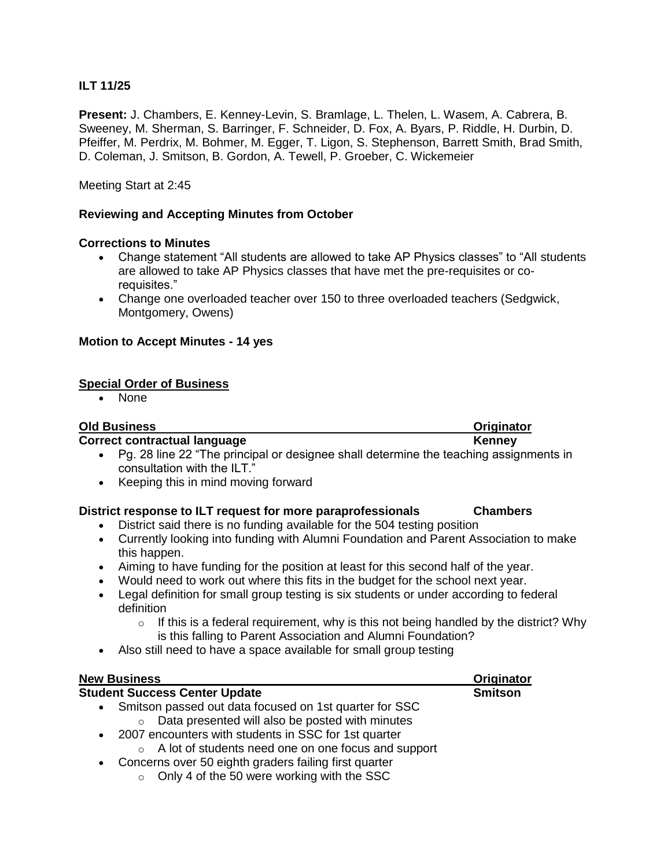# **ILT 11/25**

**Present:** J. Chambers, E. Kenney-Levin, S. Bramlage, L. Thelen, L. Wasem, A. Cabrera, B. Sweeney, M. Sherman, S. Barringer, F. Schneider, D. Fox, A. Byars, P. Riddle, H. Durbin, D. Pfeiffer, M. Perdrix, M. Bohmer, M. Egger, T. Ligon, S. Stephenson, Barrett Smith, Brad Smith, D. Coleman, J. Smitson, B. Gordon, A. Tewell, P. Groeber, C. Wickemeier

Meeting Start at 2:45

## **Reviewing and Accepting Minutes from October**

## **Corrections to Minutes**

- Change statement "All students are allowed to take AP Physics classes" to "All students" are allowed to take AP Physics classes that have met the pre-requisites or corequisites."
- Change one overloaded teacher over 150 to three overloaded teachers (Sedgwick, Montgomery, Owens)

### **Motion to Accept Minutes - 14 yes**

### **Special Order of Business**

• None

### **Old Business Originator**

### **Correct contractual language <b>Kenney Kenney**

- Pg. 28 line 22 "The principal or designee shall determine the teaching assignments in consultation with the ILT."
- Keeping this in mind moving forward

## **District response to ILT request for more paraprofessionals Chambers**

- District said there is no funding available for the 504 testing position
- Currently looking into funding with Alumni Foundation and Parent Association to make this happen.
- Aiming to have funding for the position at least for this second half of the year.
- Would need to work out where this fits in the budget for the school next year.
- Legal definition for small group testing is six students or under according to federal definition
	- $\circ$  If this is a federal requirement, why is this not being handled by the district? Why is this falling to Parent Association and Alumni Foundation?
- Also still need to have a space available for small group testing

| <b>New Business</b>                                         | Originator     |
|-------------------------------------------------------------|----------------|
| <b>Student Success Center Update</b>                        | <b>Smitson</b> |
| • Smitson passed out data focused on 1st quarter for SSC    |                |
| Data presented will also be posted with minutes<br>$\circ$  |                |
| • 2007 encounters with students in SSC for 1st quarter      |                |
| $\circ$ A lot of students need one on one focus and support |                |
| • Concerns over 50 eighth graders failing first quarter     |                |

o Only 4 of the 50 were working with the SSC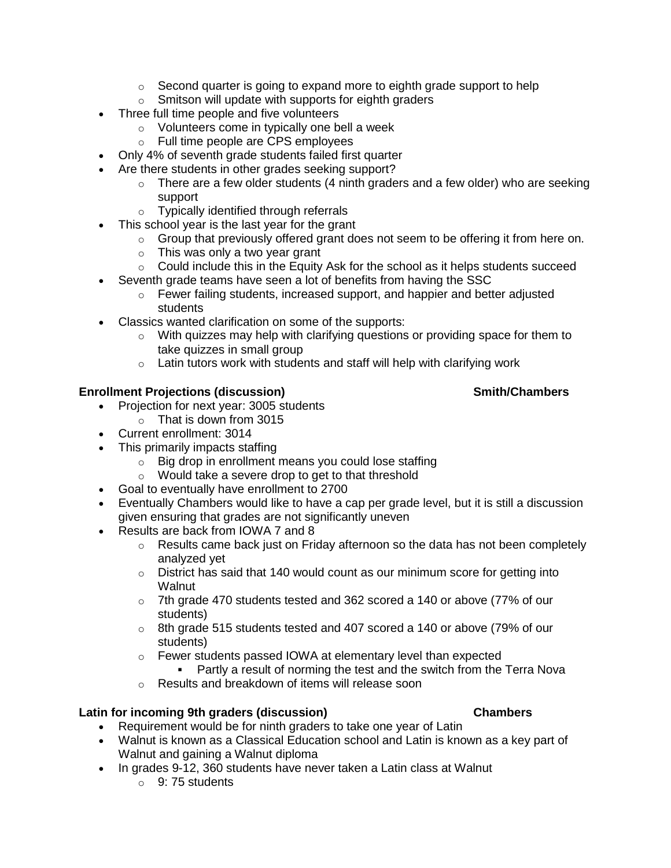- $\circ$  Second quarter is going to expand more to eighth grade support to help
- $\circ$  Smitson will update with supports for eighth graders
- Three full time people and five volunteers
	- o Volunteers come in typically one bell a week
	- o Full time people are CPS employees
- Only 4% of seventh grade students failed first quarter
- Are there students in other grades seeking support?
	- $\circ$  There are a few older students (4 ninth graders and a few older) who are seeking support
	- o Typically identified through referrals
- This school year is the last year for the grant
	- $\circ$  Group that previously offered grant does not seem to be offering it from here on.
	- $\circ$  This was only a two year grant
	- o Could include this in the Equity Ask for the school as it helps students succeed
- Seventh grade teams have seen a lot of benefits from having the SSC
	- $\circ$  Fewer failing students, increased support, and happier and better adjusted students
- Classics wanted clarification on some of the supports:
	- $\circ$  With quizzes may help with clarifying questions or providing space for them to take quizzes in small group
	- $\circ$  Latin tutors work with students and staff will help with clarifying work

# **Enrollment Projections (discussion) Smith/Chambers**

- Projection for next year: 3005 students
	- $\circ$  That is down from 3015
- Current enrollment: 3014
- This primarily impacts staffing
	- $\circ$  Big drop in enrollment means you could lose staffing
	- o Would take a severe drop to get to that threshold
- Goal to eventually have enrollment to 2700
- Eventually Chambers would like to have a cap per grade level, but it is still a discussion given ensuring that grades are not significantly uneven
- Results are back from IOWA 7 and 8
	- $\circ$  Results came back just on Friday afternoon so the data has not been completely analyzed yet
	- o District has said that 140 would count as our minimum score for getting into **Walnut**
	- $\circ$  7th grade 470 students tested and 362 scored a 140 or above (77% of our students)
	- $\circ$  8th grade 515 students tested and 407 scored a 140 or above (79% of our students)
	- o Fewer students passed IOWA at elementary level than expected Partly a result of norming the test and the switch from the Terra Nova
	- o Results and breakdown of items will release soon

## **Latin for incoming 9th graders (discussion) Chambers**

- Requirement would be for ninth graders to take one year of Latin
- Walnut is known as a Classical Education school and Latin is known as a key part of Walnut and gaining a Walnut diploma
- In grades 9-12, 360 students have never taken a Latin class at Walnut
	- $\circ$  9: 75 students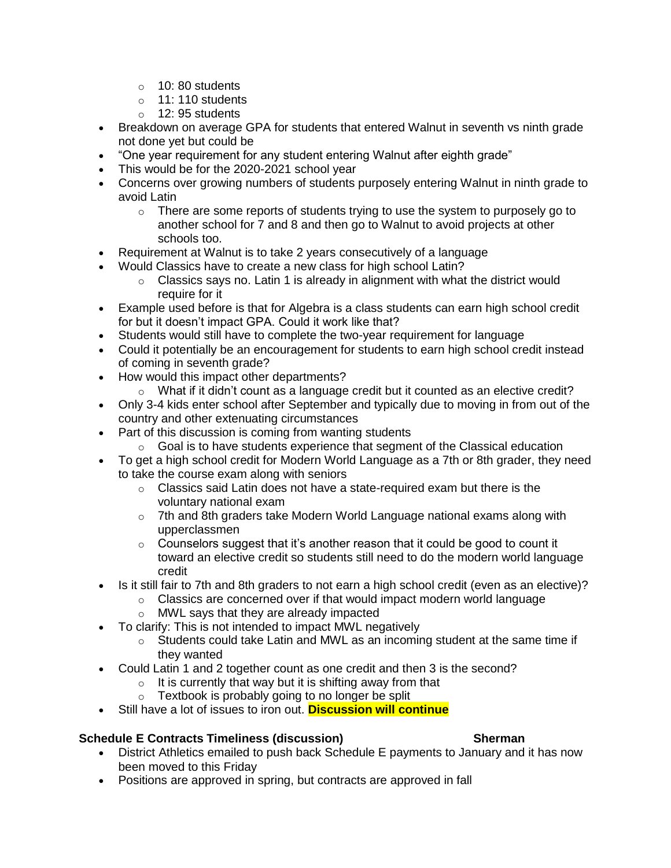- $\circ$  10: 80 students
- o 11: 110 students
- $\circ$  12: 95 students
- Breakdown on average GPA for students that entered Walnut in seventh vs ninth grade not done yet but could be
- "One year requirement for any student entering Walnut after eighth grade"
- This would be for the 2020-2021 school year
- Concerns over growing numbers of students purposely entering Walnut in ninth grade to avoid Latin
	- $\circ$  There are some reports of students trying to use the system to purposely go to another school for 7 and 8 and then go to Walnut to avoid projects at other schools too.
- Requirement at Walnut is to take 2 years consecutively of a language
- Would Classics have to create a new class for high school Latin?
	- $\circ$  Classics says no. Latin 1 is already in alignment with what the district would require for it
- Example used before is that for Algebra is a class students can earn high school credit for but it doesn't impact GPA. Could it work like that?
- Students would still have to complete the two-year requirement for language
- Could it potentially be an encouragement for students to earn high school credit instead of coming in seventh grade?
- How would this impact other departments?
	- $\circ$  What if it didn't count as a language credit but it counted as an elective credit?
- Only 3-4 kids enter school after September and typically due to moving in from out of the country and other extenuating circumstances
- Part of this discussion is coming from wanting students
	- $\circ$  Goal is to have students experience that segment of the Classical education
- To get a high school credit for Modern World Language as a 7th or 8th grader, they need to take the course exam along with seniors
	- $\circ$  Classics said Latin does not have a state-required exam but there is the voluntary national exam
	- $\circ$  7th and 8th graders take Modern World Language national exams along with upperclassmen
	- $\circ$  Counselors suggest that it's another reason that it could be good to count it toward an elective credit so students still need to do the modern world language credit
- Is it still fair to 7th and 8th graders to not earn a high school credit (even as an elective)?
	- o Classics are concerned over if that would impact modern world language
	- o MWL says that they are already impacted
- To clarify: This is not intended to impact MWL negatively
	- $\circ$  Students could take Latin and MWL as an incoming student at the same time if they wanted
- Could Latin 1 and 2 together count as one credit and then 3 is the second?
	- $\circ$  It is currently that way but it is shifting away from that
		- $\circ$  Textbook is probably going to no longer be split
- Still have a lot of issues to iron out. **Discussion will continue**

## **Schedule E Contracts Timeliness (discussion) Sherman**

- District Athletics emailed to push back Schedule E payments to January and it has now been moved to this Friday
- Positions are approved in spring, but contracts are approved in fall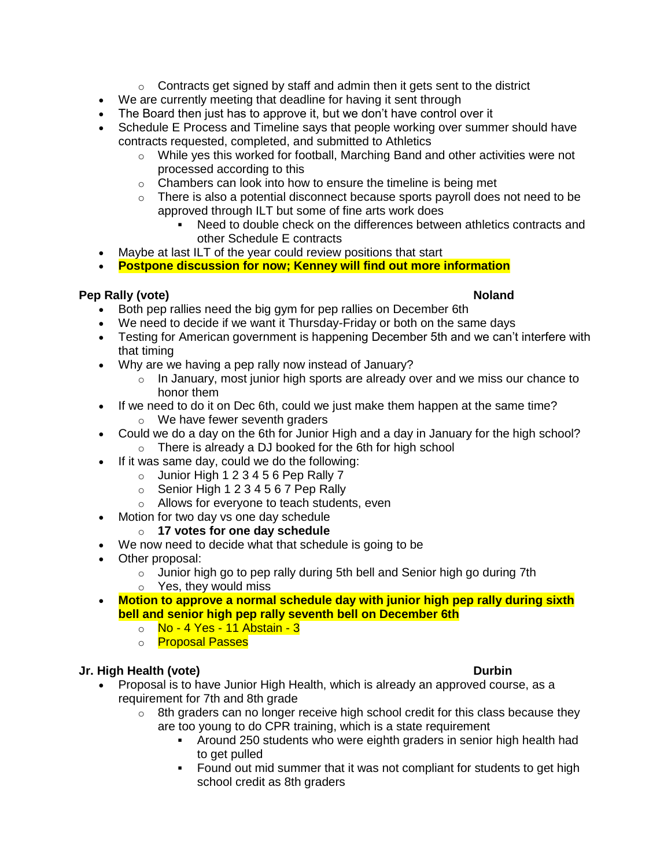- $\circ$  Contracts get signed by staff and admin then it gets sent to the district
- We are currently meeting that deadline for having it sent through
- The Board then just has to approve it, but we don't have control over it
- Schedule E Process and Timeline says that people working over summer should have contracts requested, completed, and submitted to Athletics
	- $\circ$  While yes this worked for football, Marching Band and other activities were not processed according to this
	- $\circ$  Chambers can look into how to ensure the timeline is being met
	- $\circ$  There is also a potential disconnect because sports payroll does not need to be approved through ILT but some of fine arts work does
		- Need to double check on the differences between athletics contracts and other Schedule E contracts
- Maybe at last ILT of the year could review positions that start
- **Postpone discussion for now; Kenney will find out more information**

### **Pep Rally (vote) Noland**

- Both pep rallies need the big gym for pep rallies on December 6th
- We need to decide if we want it Thursday-Friday or both on the same days
- Testing for American government is happening December 5th and we can't interfere with that timing
- Why are we having a pep rally now instead of January?
	- o In January, most junior high sports are already over and we miss our chance to honor them
- If we need to do it on Dec 6th, could we just make them happen at the same time?
	- o We have fewer seventh graders
- Could we do a day on the 6th for Junior High and a day in January for the high school? o There is already a DJ booked for the 6th for high school
- If it was same day, could we do the following:
	- $\circ$  Junior High 1 2 3 4 5 6 Pep Rally 7
	- $\circ$  Senior High 1 2 3 4 5 6 7 Pep Rally
	- o Allows for everyone to teach students, even
- Motion for two day vs one day schedule
	- o **17 votes for one day schedule**
- We now need to decide what that schedule is going to be
- Other proposal:
	- $\circ$  Junior high go to pep rally during 5th bell and Senior high go during 7th
	- o Yes, they would miss
- **Motion to approve a normal schedule day with junior high pep rally during sixth bell and senior high pep rally seventh bell on December 6th**
	- o No 4 Yes 11 Abstain 3
	- o **Proposal Passes**

## **Jr. High Health (vote) Durbin**

- Proposal is to have Junior High Health, which is already an approved course, as a requirement for 7th and 8th grade
	- $\circ$  8th graders can no longer receive high school credit for this class because they are too young to do CPR training, which is a state requirement
		- Around 250 students who were eighth graders in senior high health had to get pulled
		- Found out mid summer that it was not compliant for students to get high school credit as 8th graders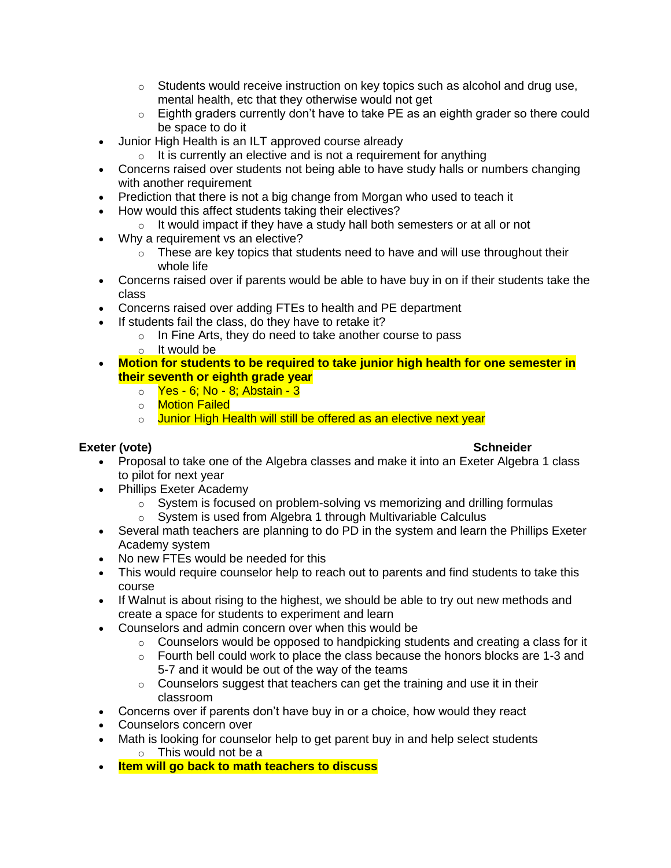- $\circ$  Students would receive instruction on key topics such as alcohol and drug use, mental health, etc that they otherwise would not get
- $\circ$  Eighth graders currently don't have to take PE as an eighth grader so there could be space to do it
- Junior High Health is an ILT approved course already
	- $\circ$  It is currently an elective and is not a requirement for anything
- Concerns raised over students not being able to have study halls or numbers changing with another requirement
- Prediction that there is not a big change from Morgan who used to teach it
- How would this affect students taking their electives?
	- $\circ$  It would impact if they have a study hall both semesters or at all or not
- Why a requirement vs an elective?
	- $\circ$  These are key topics that students need to have and will use throughout their whole life
- Concerns raised over if parents would be able to have buy in on if their students take the class
- Concerns raised over adding FTEs to health and PE department
- If students fail the class, do they have to retake it?
	- o In Fine Arts, they do need to take another course to pass
	- o It would be
- **Motion for students to be required to take junior high health for one semester in their seventh or eighth grade year**
	- o Yes 6; No 8; Abstain 3
	- o **Motion Failed**
	- o Junior High Health will still be offered as an elective next year

# **Exeter (vote) Schneider**

- Proposal to take one of the Algebra classes and make it into an Exeter Algebra 1 class to pilot for next year
- Phillips Exeter Academy
	- $\circ$  System is focused on problem-solving vs memorizing and drilling formulas
	- o System is used from Algebra 1 through Multivariable Calculus
- Several math teachers are planning to do PD in the system and learn the Phillips Exeter Academy system
- No new FTEs would be needed for this
- This would require counselor help to reach out to parents and find students to take this course
- If Walnut is about rising to the highest, we should be able to try out new methods and create a space for students to experiment and learn
- Counselors and admin concern over when this would be
	- $\circ$  Counselors would be opposed to handpicking students and creating a class for it
	- $\circ$  Fourth bell could work to place the class because the honors blocks are 1-3 and 5-7 and it would be out of the way of the teams
	- $\circ$  Counselors suggest that teachers can get the training and use it in their classroom
- Concerns over if parents don't have buy in or a choice, how would they react
- Counselors concern over
- Math is looking for counselor help to get parent buy in and help select students o This would not be a
- **Item will go back to math teachers to discuss**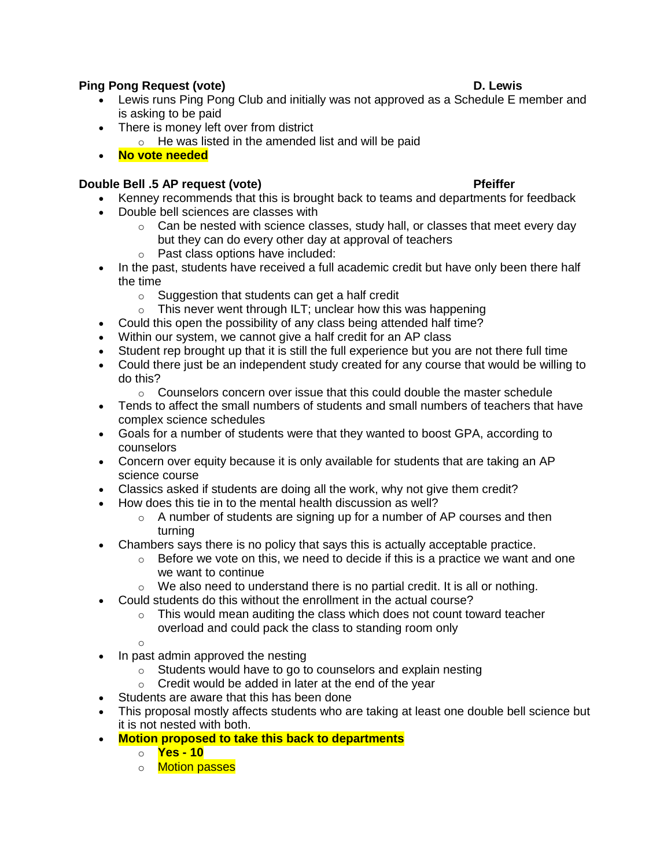# **Ping Pong Request (vote) D. Lewis**

- Lewis runs Ping Pong Club and initially was not approved as a Schedule E member and is asking to be paid
- There is money left over from district
	- $\circ$  He was listed in the amended list and will be paid
- **No vote needed**

# **Double Bell .5 AP request (vote) Pfeiffer**

- Kenney recommends that this is brought back to teams and departments for feedback
- Double bell sciences are classes with
	- $\circ$  Can be nested with science classes, study hall, or classes that meet every day but they can do every other day at approval of teachers
	- o Past class options have included:
- In the past, students have received a full academic credit but have only been there half the time
	- o Suggestion that students can get a half credit
	- $\circ$  This never went through ILT; unclear how this was happening
- Could this open the possibility of any class being attended half time?
- Within our system, we cannot give a half credit for an AP class
- Student rep brought up that it is still the full experience but you are not there full time
- Could there just be an independent study created for any course that would be willing to do this?
	- $\circ$  Counselors concern over issue that this could double the master schedule
- Tends to affect the small numbers of students and small numbers of teachers that have complex science schedules
- Goals for a number of students were that they wanted to boost GPA, according to counselors
- Concern over equity because it is only available for students that are taking an AP science course
- Classics asked if students are doing all the work, why not give them credit?
- How does this tie in to the mental health discussion as well?
	- $\circ$  A number of students are signing up for a number of AP courses and then turning
- Chambers says there is no policy that says this is actually acceptable practice.
	- $\circ$  Before we vote on this, we need to decide if this is a practice we want and one we want to continue
	- o We also need to understand there is no partial credit. It is all or nothing.
- Could students do this without the enrollment in the actual course?
	- $\circ$  This would mean auditing the class which does not count toward teacher overload and could pack the class to standing room only

o

- In past admin approved the nesting
	- o Students would have to go to counselors and explain nesting
	- o Credit would be added in later at the end of the year
- Students are aware that this has been done
- This proposal mostly affects students who are taking at least one double bell science but it is not nested with both.
- **Motion proposed to take this back to departments**
	- o **Yes - 10**
	- o **Motion passes**